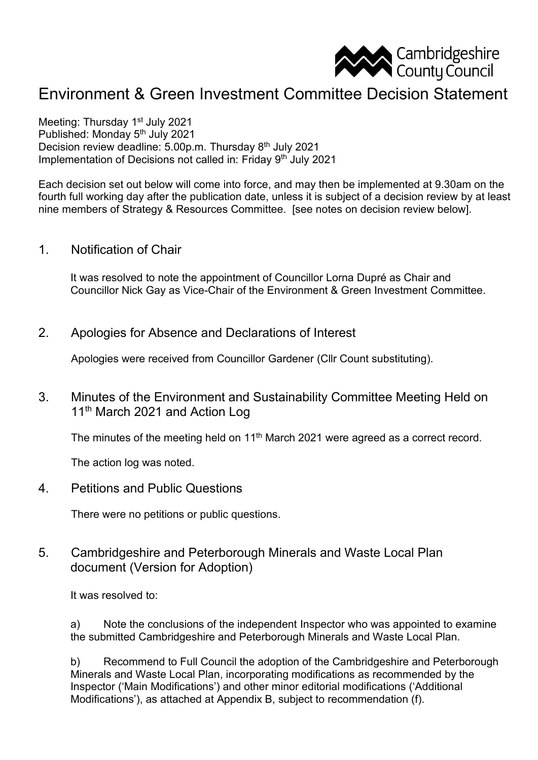

# Environment & Green Investment Committee Decision Statement

Meeting: Thursday 1<sup>st</sup> July 2021 Published: Monday 5th July 2021 Decision review deadline: 5.00p.m. Thursday 8th July 2021 Implementation of Decisions not called in: Friday 9<sup>th</sup> July 2021

Each decision set out below will come into force, and may then be implemented at 9.30am on the fourth full working day after the publication date, unless it is subject of a decision review by at least nine members of Strategy & Resources Committee. [see notes on decision review below].

1. Notification of Chair

It was resolved to note the appointment of Councillor Lorna Dupré as Chair and Councillor Nick Gay as Vice-Chair of the Environment & Green Investment Committee.

2. Apologies for Absence and Declarations of Interest

Apologies were received from Councillor Gardener (Cllr Count substituting).

3. Minutes of the Environment and Sustainability Committee Meeting Held on 11<sup>th</sup> March 2021 and Action Log

The minutes of the meeting held on 11<sup>th</sup> March 2021 were agreed as a correct record.

The action log was noted.

4. Petitions and Public Questions

There were no petitions or public questions.

5. Cambridgeshire and Peterborough Minerals and Waste Local Plan document (Version for Adoption)

It was resolved to:

a) Note the conclusions of the independent Inspector who was appointed to examine the submitted Cambridgeshire and Peterborough Minerals and Waste Local Plan.

b) Recommend to Full Council the adoption of the Cambridgeshire and Peterborough Minerals and Waste Local Plan, incorporating modifications as recommended by the Inspector ('Main Modifications') and other minor editorial modifications ('Additional Modifications'), as attached at Appendix B, subject to recommendation (f).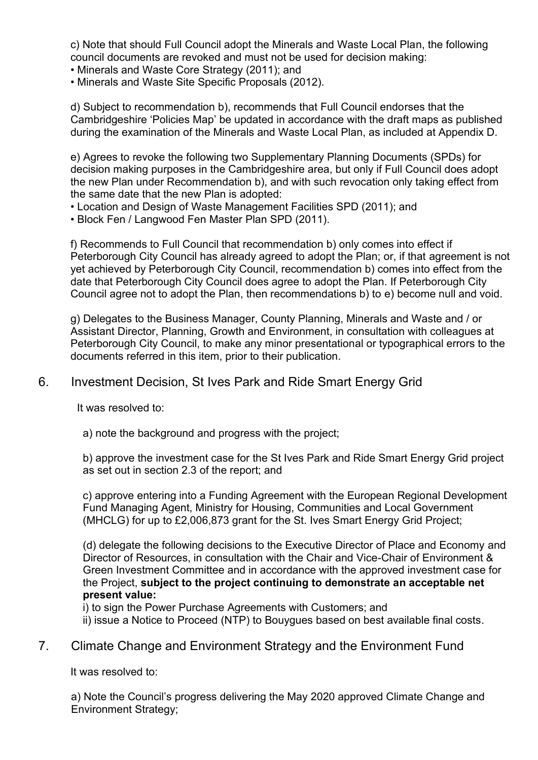c) Note that should Full Council adopt the Minerals and Waste Local Plan, the following council documents are revoked and must not be used for decision making:

• Minerals and Waste Core Strategy (2011); and

• Minerals and Waste Site Specific Proposals (2012).

d) Subject to recommendation b), recommends that Full Council endorses that the Cambridgeshire 'Policies Map' be updated in accordance with the draft maps as published during the examination of the Minerals and Waste Local Plan, as included at Appendix D.

e) Agrees to revoke the following two Supplementary Planning Documents (SPDs) for decision making purposes in the Cambridgeshire area, but only if Full Council does adopt the new Plan under Recommendation b), and with such revocation only taking effect from the same date that the new Plan is adopted:

• Location and Design of Waste Management Facilities SPD (2011); and

• Block Fen / Langwood Fen Master Plan SPD (2011).

f) Recommends to Full Council that recommendation b) only comes into effect if Peterborough City Council has already agreed to adopt the Plan; or, if that agreement is not yet achieved by Peterborough City Council, recommendation b) comes into effect from the date that Peterborough City Council does agree to adopt the Plan. If Peterborough City Council agree not to adopt the Plan, then recommendations b) to e) become null and void.

g) Delegates to the Business Manager, County Planning, Minerals and Waste and / or Assistant Director, Planning, Growth and Environment, in consultation with colleagues at Peterborough City Council, to make any minor presentational or typographical errors to the documents referred in this item, prior to their publication.

#### 6. Investment Decision, St Ives Park and Ride Smart Energy Grid

It was resolved to:

a) note the background and progress with the project;

b) approve the investment case for the St Ives Park and Ride Smart Energy Grid project as set out in section 2.3 of the report; and

c) approve entering into a Funding Agreement with the European Regional Development Fund Managing Agent, Ministry for Housing, Communities and Local Government (MHCLG) for up to £2,006,873 grant for the St. Ives Smart Energy Grid Project;

(d) delegate the following decisions to the Executive Director of Place and Economy and Director of Resources, in consultation with the Chair and Vice-Chair of Environment & Green Investment Committee and in accordance with the approved investment case for the Project, **subject to the project continuing to demonstrate an acceptable net present value:**

i) to sign the Power Purchase Agreements with Customers; and ii) issue a Notice to Proceed (NTP) to Bouygues based on best available final costs.

#### 7. Climate Change and Environment Strategy and the Environment Fund

It was resolved to:

a) Note the Council's progress delivering the May 2020 approved Climate Change and Environment Strategy;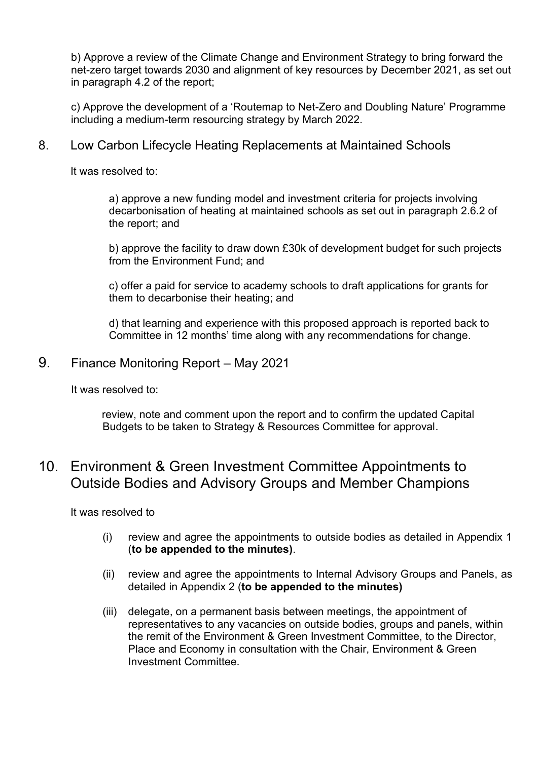b) Approve a review of the Climate Change and Environment Strategy to bring forward the net-zero target towards 2030 and alignment of key resources by December 2021, as set out in paragraph 4.2 of the report;

c) Approve the development of a 'Routemap to Net-Zero and Doubling Nature' Programme including a medium-term resourcing strategy by March 2022.

#### 8. Low Carbon Lifecycle Heating Replacements at Maintained Schools

It was resolved to:

a) approve a new funding model and investment criteria for projects involving decarbonisation of heating at maintained schools as set out in paragraph 2.6.2 of the report; and

b) approve the facility to draw down £30k of development budget for such projects from the Environment Fund; and

c) offer a paid for service to academy schools to draft applications for grants for them to decarbonise their heating; and

d) that learning and experience with this proposed approach is reported back to Committee in 12 months' time along with any recommendations for change.

#### 9. Finance Monitoring Report – May 2021

It was resolved to:

review, note and comment upon the report and to confirm the updated Capital Budgets to be taken to Strategy & Resources Committee for approval.

### 10. Environment & Green Investment Committee Appointments to Outside Bodies and Advisory Groups and Member Champions

It was resolved to

- (i) review and agree the appointments to outside bodies as detailed in Appendix 1 (**to be appended to the minutes)**.
- (ii) review and agree the appointments to Internal Advisory Groups and Panels, as detailed in Appendix 2 (**to be appended to the minutes)**
- (iii) delegate, on a permanent basis between meetings, the appointment of representatives to any vacancies on outside bodies, groups and panels, within the remit of the Environment & Green Investment Committee, to the Director, Place and Economy in consultation with the Chair, Environment & Green Investment Committee.